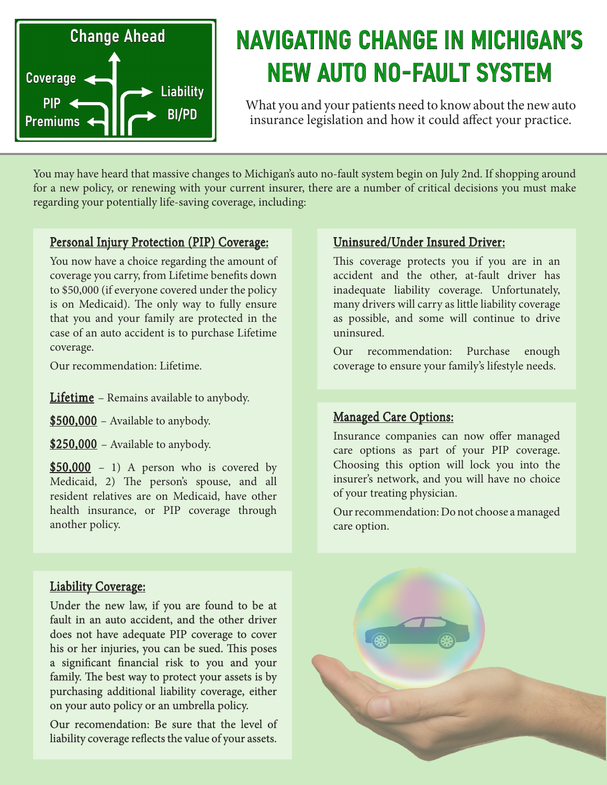

# NAVIGATING CHANGE IN MICHIGAN'S NEW AUTO NO-FAULT SYSTEM

What you and your patients need to know about the new auto insurance legislation and how it could affect your practice.

You may have heard that massive changes to Michigan's auto no-fault system begin on July 2nd. If shopping around for a new policy, or renewing with your current insurer, there are a number of critical decisions you must make regarding your potentially life-saving coverage, including:

#### Personal Injury Protection (PIP) Coverage:

You now have a choice regarding the amount of coverage you carry, from Lifetime benefits down to \$50,000 (if everyone covered under the policy is on Medicaid). The only way to fully ensure that you and your family are protected in the case of an auto accident is to purchase Lifetime coverage.

Our recommendation: Lifetime.

Lifetime – Remains available to anybody.

\$500,000 – Available to anybody.

\$250,000 - Available to anybody.

 $$50,000 - 1)$  A person who is covered by Medicaid, 2) The person's spouse, and all resident relatives are on Medicaid, have other health insurance, or PIP coverage through another policy.

#### Uninsured/Under Insured Driver:

This coverage protects you if you are in an accident and the other, at-fault driver has inadequate liability coverage. Unfortunately, many drivers will carry as little liability coverage as possible, and some will continue to drive uninsured.

Our recommendation: Purchase enough coverage to ensure your family's lifestyle needs.

#### Managed Care Options:

Insurance companies can now offer managed care options as part of your PIP coverage. Choosing this option will lock you into the insurer's network, and you will have no choice of your treating physician.

Our recommendation: Do not choose a managed care option.

#### Liability Coverage:

Under the new law, if you are found to be at fault in an auto accident, and the other driver does not have adequate PIP coverage to cover his or her injuries, you can be sued. This poses a significant financial risk to you and your family. The best way to protect your assets is by purchasing additional liability coverage, either on your auto policy or an umbrella policy.

Our recomendation: Be sure that the level of liability coverage reflects the value of your assets.